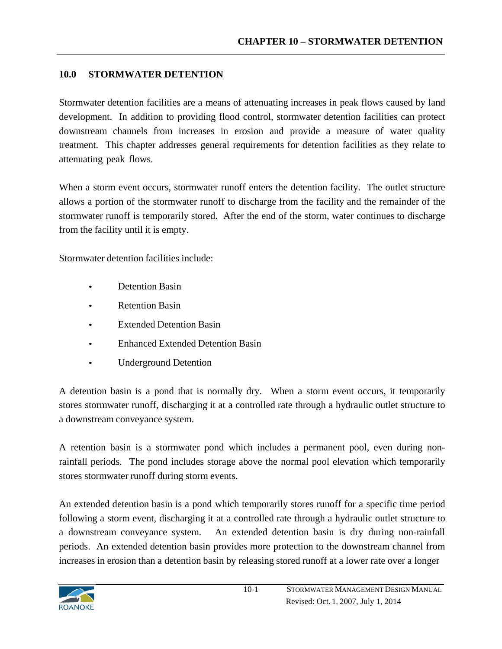### **10.0 STORMWATER DETENTION**

Stormwater detention facilities are a means of attenuating increases in peak flows caused by land development. In addition to providing flood control, stormwater detention facilities can protect downstream channels from increases in erosion and provide a measure of water quality treatment. This chapter addresses general requirements for detention facilities as they relate to attenuating peak flows.

When a storm event occurs, stormwater runoff enters the detention facility. The outlet structure allows a portion of the stormwater runoff to discharge from the facility and the remainder of the stormwater runoff is temporarily stored. After the end of the storm, water continues to discharge from the facility until it is empty.

Stormwater detention facilities include:

- Detention Basin
- Retention Basin
- **Extended Detention Basin**
- Enhanced Extended Detention Basin
- Underground Detention

A detention basin is a pond that is normally dry. When a storm event occurs, it temporarily stores stormwater runoff, discharging it at a controlled rate through a hydraulic outlet structure to a downstream conveyance system.

A retention basin is a stormwater pond which includes a permanent pool, even during nonrainfall periods. The pond includes storage above the normal pool elevation which temporarily stores stormwater runoff during storm events.

An extended detention basin is a pond which temporarily stores runoff for a specific time period following a storm event, discharging it at a controlled rate through a hydraulic outlet structure to a downstream conveyance system. An extended detention basin is dry during non-rainfall periods. An extended detention basin provides more protection to the downstream channel from increases in erosion than a detention basin by releasing stored runoff at a lower rate over a longer

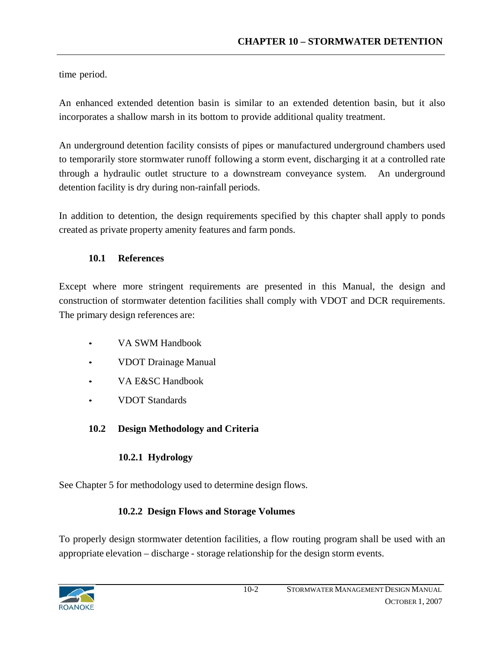time period.

An enhanced extended detention basin is similar to an extended detention basin, but it also incorporates a shallow marsh in its bottom to provide additional quality treatment.

An underground detention facility consists of pipes or manufactured underground chambers used to temporarily store stormwater runoff following a storm event, discharging it at a controlled rate through a hydraulic outlet structure to a downstream conveyance system. An underground detention facility is dry during non-rainfall periods.

In addition to detention, the design requirements specified by this chapter shall apply to ponds created as private property amenity features and farm ponds.

## **10.1 References**

Except where more stringent requirements are presented in this Manual, the design and construction of stormwater detention facilities shall comply with VDOT and DCR requirements. The primary design references are:

- VA SWM Handbook
- VDOT Drainage Manual
- VA E&SC Handbook
- VDOT Standards

# **10.2 Design Methodology and Criteria**

## **10.2.1 Hydrology**

See Chapter 5 for methodology used to determine design flows.

## **10.2.2 Design Flows and Storage Volumes**

To properly design stormwater detention facilities, a flow routing program shall be used with an appropriate elevation – discharge - storage relationship for the design storm events.

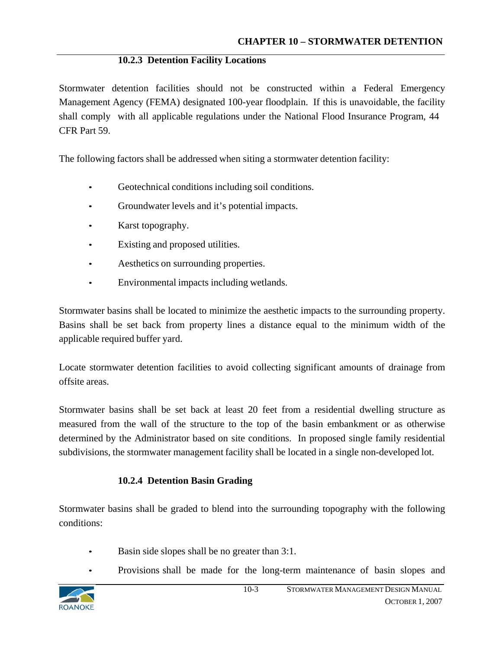#### **10.2.3 Detention Facility Locations**

Stormwater detention facilities should not be constructed within a Federal Emergency Management Agency (FEMA) designated 100-year floodplain. If this is unavoidable, the facility shall comply with all applicable regulations under the National Flood Insurance Program, 44 CFR Part 59.

The following factors shall be addressed when siting a stormwater detention facility:

- Geotechnical conditions including soil conditions.
- Groundwater levels and it's potential impacts.
- Karst topography.
- Existing and proposed utilities.
- Aesthetics on surrounding properties.
- Environmental impacts including wetlands.

Stormwater basins shall be located to minimize the aesthetic impacts to the surrounding property. Basins shall be set back from property lines a distance equal to the minimum width of the applicable required buffer yard.

Locate stormwater detention facilities to avoid collecting significant amounts of drainage from offsite areas.

Stormwater basins shall be set back at least 20 feet from a residential dwelling structure as measured from the wall of the structure to the top of the basin embankment or as otherwise determined by the Administrator based on site conditions. In proposed single family residential subdivisions, the stormwater management facility shall be located in a single non-developed lot.

### **10.2.4 Detention Basin Grading**

Stormwater basins shall be graded to blend into the surrounding topography with the following conditions:

- Basin side slopes shall be no greater than 3:1.
- Provisions shall be made for the long-term maintenance of basin slopes and

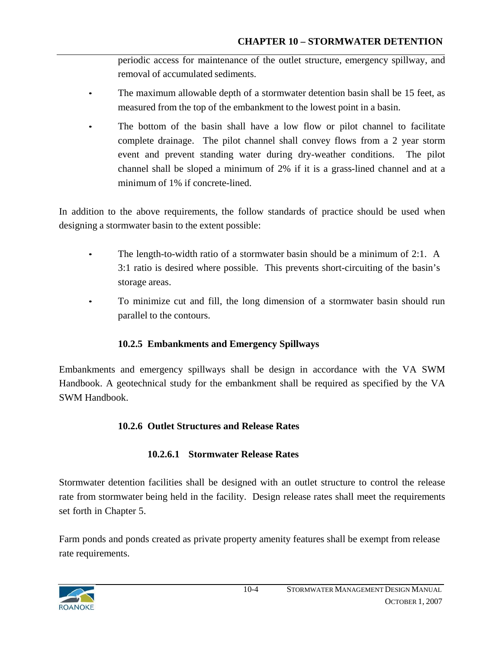periodic access for maintenance of the outlet structure, emergency spillway, and removal of accumulated sediments.

- The maximum allowable depth of a stormwater detention basin shall be 15 feet, as measured from the top of the embankment to the lowest point in a basin.
- The bottom of the basin shall have a low flow or pilot channel to facilitate complete drainage. The pilot channel shall convey flows from a 2 year storm event and prevent standing water during dry-weather conditions. The pilot channel shall be sloped a minimum of 2% if it is a grass-lined channel and at a minimum of 1% if concrete-lined.

In addition to the above requirements, the follow standards of practice should be used when designing a stormwater basin to the extent possible:

- The length-to-width ratio of a stormwater basin should be a minimum of  $2:1$ . A 3:1 ratio is desired where possible. This prevents short-circuiting of the basin's storage areas.
- To minimize cut and fill, the long dimension of a stormwater basin should run parallel to the contours.

## **10.2.5 Embankments and Emergency Spillways**

Embankments and emergency spillways shall be design in accordance with the VA SWM Handbook. A geotechnical study for the embankment shall be required as specified by the VA SWM Handbook.

## **10.2.6 Outlet Structures and Release Rates**

## **10.2.6.1 Stormwater Release Rates**

Stormwater detention facilities shall be designed with an outlet structure to control the release rate from stormwater being held in the facility. Design release rates shall meet the requirements set forth in Chapter 5.

Farm ponds and ponds created as private property amenity features shall be exempt from release rate requirements.

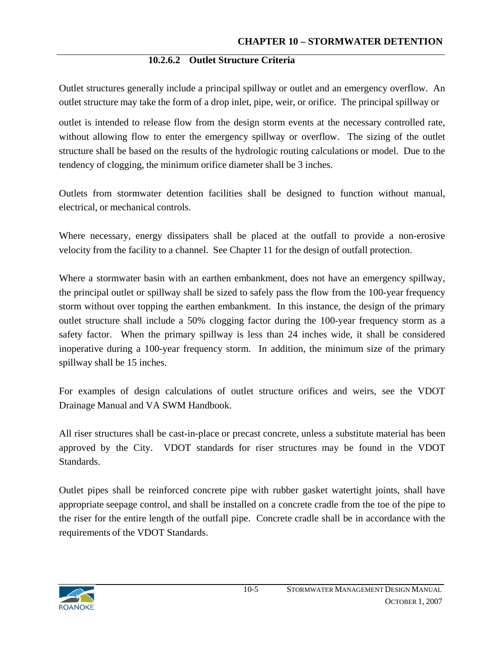### **10.2.6.2 Outlet Structure Criteria**

Outlet structures generally include a principal spillway or outlet and an emergency overflow. An outlet structure may take the form of a drop inlet, pipe, weir, or orifice. The principal spillway or

outlet is intended to release flow from the design storm events at the necessary controlled rate, without allowing flow to enter the emergency spillway or overflow. The sizing of the outlet structure shall be based on the results of the hydrologic routing calculations or model. Due to the tendency of clogging, the minimum orifice diameter shall be 3 inches.

Outlets from stormwater detention facilities shall be designed to function without manual, electrical, or mechanical controls.

Where necessary, energy dissipaters shall be placed at the outfall to provide a non-erosive velocity from the facility to a channel. See Chapter 11 for the design of outfall protection.

Where a stormwater basin with an earthen embankment, does not have an emergency spillway, the principal outlet or spillway shall be sized to safely pass the flow from the 100-year frequency storm without over topping the earthen embankment. In this instance, the design of the primary outlet structure shall include a 50% clogging factor during the 100-year frequency storm as a safety factor. When the primary spillway is less than 24 inches wide, it shall be considered inoperative during a 100-year frequency storm. In addition, the minimum size of the primary spillway shall be 15 inches.

For examples of design calculations of outlet structure orifices and weirs, see the VDOT Drainage Manual and VA SWM Handbook.

All riser structures shall be cast-in-place or precast concrete, unless a substitute material has been approved by the City. VDOT standards for riser structures may be found in the VDOT Standards.

Outlet pipes shall be reinforced concrete pipe with rubber gasket watertight joints, shall have appropriate seepage control, and shall be installed on a concrete cradle from the toe of the pipe to the riser for the entire length of the outfall pipe. Concrete cradle shall be in accordance with the requirements of the VDOT Standards.

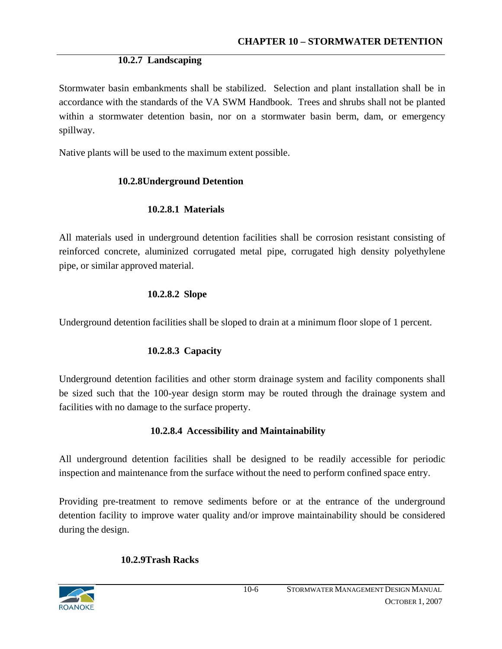### **10.2.7 Landscaping**

Stormwater basin embankments shall be stabilized. Selection and plant installation shall be in accordance with the standards of the VA SWM Handbook. Trees and shrubs shall not be planted within a stormwater detention basin, nor on a stormwater basin berm, dam, or emergency spillway.

Native plants will be used to the maximum extent possible.

### **10.2.8Underground Detention**

### **10.2.8.1 Materials**

All materials used in underground detention facilities shall be corrosion resistant consisting of reinforced concrete, aluminized corrugated metal pipe, corrugated high density polyethylene pipe, or similar approved material.

### **10.2.8.2 Slope**

Underground detention facilities shall be sloped to drain at a minimum floor slope of 1 percent.

## **10.2.8.3 Capacity**

Underground detention facilities and other storm drainage system and facility components shall be sized such that the 100-year design storm may be routed through the drainage system and facilities with no damage to the surface property.

## **10.2.8.4 Accessibility and Maintainability**

All underground detention facilities shall be designed to be readily accessible for periodic inspection and maintenance from the surface without the need to perform confined space entry.

Providing pre-treatment to remove sediments before or at the entrance of the underground detention facility to improve water quality and/or improve maintainability should be considered during the design.

## **10.2.9Trash Racks**